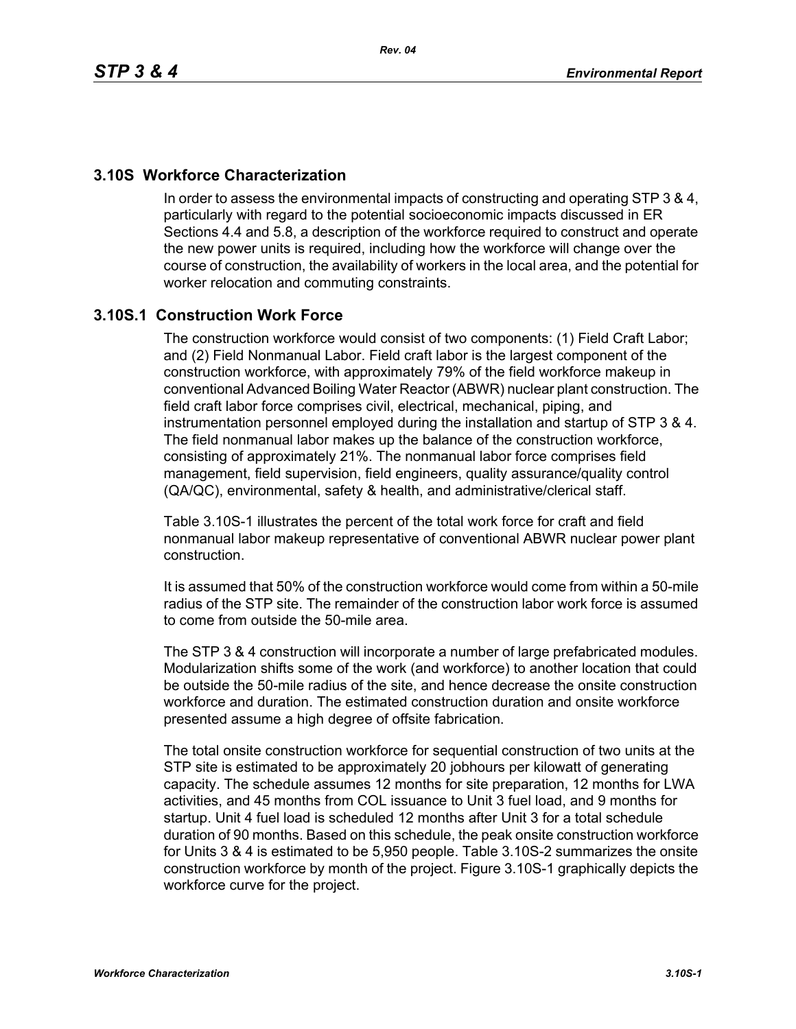# **3.10S Workforce Characterization**

In order to assess the environmental impacts of constructing and operating STP 3 & 4, particularly with regard to the potential socioeconomic impacts discussed in ER Sections 4.4 and 5.8, a description of the workforce required to construct and operate the new power units is required, including how the workforce will change over the course of construction, the availability of workers in the local area, and the potential for worker relocation and commuting constraints.

# **3.10S.1 Construction Work Force**

The construction workforce would consist of two components: (1) Field Craft Labor; and (2) Field Nonmanual Labor. Field craft labor is the largest component of the construction workforce, with approximately 79% of the field workforce makeup in conventional Advanced Boiling Water Reactor (ABWR) nuclear plant construction. The field craft labor force comprises civil, electrical, mechanical, piping, and instrumentation personnel employed during the installation and startup of STP 3 & 4. The field nonmanual labor makes up the balance of the construction workforce, consisting of approximately 21%. The nonmanual labor force comprises field management, field supervision, field engineers, quality assurance/quality control (QA/QC), environmental, safety & health, and administrative/clerical staff.

Table 3.10S-1 illustrates the percent of the total work force for craft and field nonmanual labor makeup representative of conventional ABWR nuclear power plant construction.

It is assumed that 50% of the construction workforce would come from within a 50-mile radius of the STP site. The remainder of the construction labor work force is assumed to come from outside the 50-mile area.

The STP 3 & 4 construction will incorporate a number of large prefabricated modules. Modularization shifts some of the work (and workforce) to another location that could be outside the 50-mile radius of the site, and hence decrease the onsite construction workforce and duration. The estimated construction duration and onsite workforce presented assume a high degree of offsite fabrication.

The total onsite construction workforce for sequential construction of two units at the STP site is estimated to be approximately 20 jobhours per kilowatt of generating capacity. The schedule assumes 12 months for site preparation, 12 months for LWA activities, and 45 months from COL issuance to Unit 3 fuel load, and 9 months for startup. Unit 4 fuel load is scheduled 12 months after Unit 3 for a total schedule duration of 90 months. Based on this schedule, the peak onsite construction workforce for Units 3 & 4 is estimated to be 5,950 people. Table 3.10S-2 summarizes the onsite construction workforce by month of the project. Figure 3.10S-1 graphically depicts the workforce curve for the project.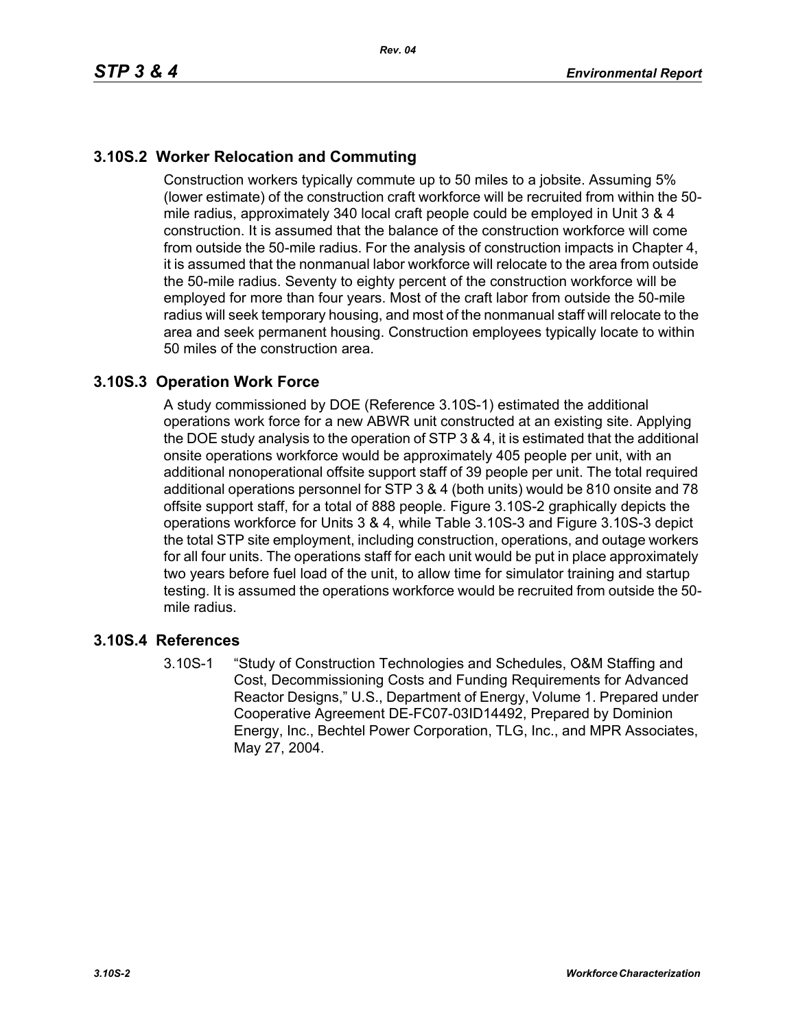# **3.10S.2 Worker Relocation and Commuting**

Construction workers typically commute up to 50 miles to a jobsite. Assuming 5% (lower estimate) of the construction craft workforce will be recruited from within the 50 mile radius, approximately 340 local craft people could be employed in Unit 3 & 4 construction. It is assumed that the balance of the construction workforce will come from outside the 50-mile radius. For the analysis of construction impacts in Chapter 4, it is assumed that the nonmanual labor workforce will relocate to the area from outside the 50-mile radius. Seventy to eighty percent of the construction workforce will be employed for more than four years. Most of the craft labor from outside the 50-mile radius will seek temporary housing, and most of the nonmanual staff will relocate to the area and seek permanent housing. Construction employees typically locate to within 50 miles of the construction area.

# **3.10S.3 Operation Work Force**

A study commissioned by DOE (Reference 3.10S-1) estimated the additional operations work force for a new ABWR unit constructed at an existing site. Applying the DOE study analysis to the operation of STP 3 & 4, it is estimated that the additional onsite operations workforce would be approximately 405 people per unit, with an additional nonoperational offsite support staff of 39 people per unit. The total required additional operations personnel for STP 3 & 4 (both units) would be 810 onsite and 78 offsite support staff, for a total of 888 people. Figure 3.10S-2 graphically depicts the operations workforce for Units 3 & 4, while Table 3.10S-3 and Figure 3.10S-3 depict the total STP site employment, including construction, operations, and outage workers for all four units. The operations staff for each unit would be put in place approximately two years before fuel load of the unit, to allow time for simulator training and startup testing. It is assumed the operations workforce would be recruited from outside the 50 mile radius.

# **3.10S.4 References**

3.10S-1 "Study of Construction Technologies and Schedules, O&M Staffing and Cost, Decommissioning Costs and Funding Requirements for Advanced Reactor Designs," U.S., Department of Energy, Volume 1. Prepared under Cooperative Agreement DE-FC07-03ID14492, Prepared by Dominion Energy, Inc., Bechtel Power Corporation, TLG, Inc., and MPR Associates, May 27, 2004.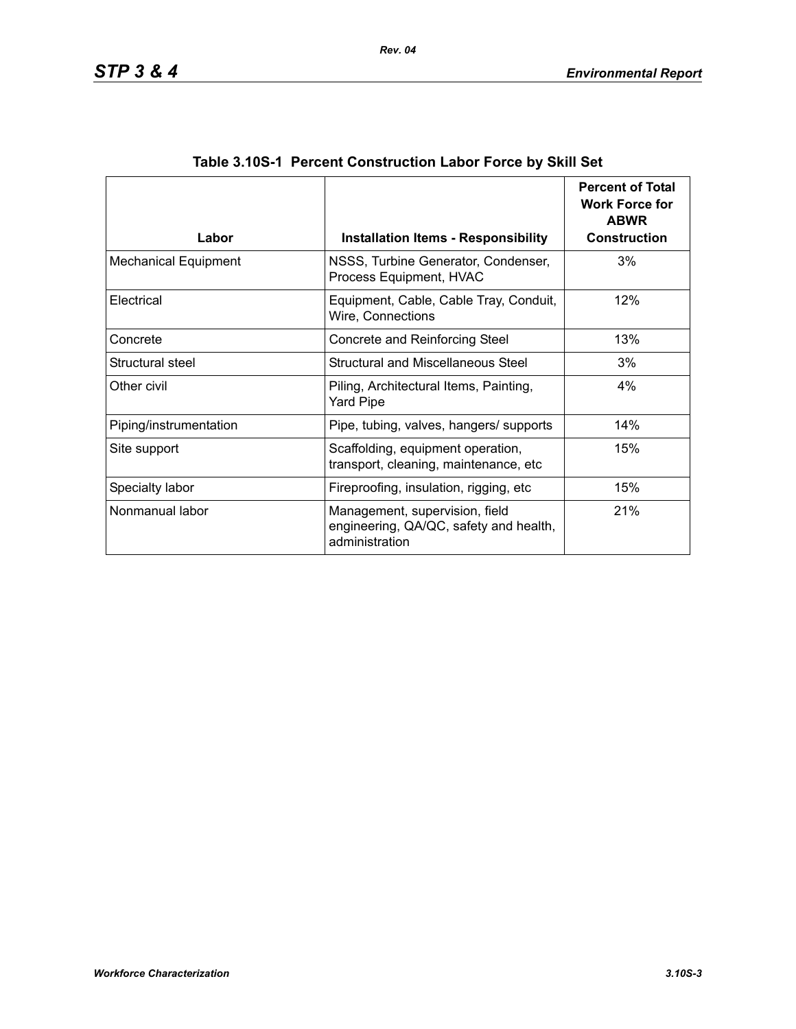| Labor                       | <b>Installation Items - Responsibility</b>                                                 | <b>Percent of Total</b><br><b>Work Force for</b><br><b>ABWR</b><br><b>Construction</b> |
|-----------------------------|--------------------------------------------------------------------------------------------|----------------------------------------------------------------------------------------|
| <b>Mechanical Equipment</b> | NSSS, Turbine Generator, Condenser,<br>Process Equipment, HVAC                             | 3%                                                                                     |
| Electrical                  | Equipment, Cable, Cable Tray, Conduit,<br>Wire, Connections                                | 12%                                                                                    |
| Concrete                    | Concrete and Reinforcing Steel                                                             | 13%                                                                                    |
| Structural steel            | Structural and Miscellaneous Steel                                                         | 3%                                                                                     |
| Other civil                 | Piling, Architectural Items, Painting,<br><b>Yard Pipe</b>                                 | 4%                                                                                     |
| Piping/instrumentation      | Pipe, tubing, valves, hangers/ supports                                                    | 14%                                                                                    |
| Site support                | Scaffolding, equipment operation,<br>transport, cleaning, maintenance, etc                 | 15%                                                                                    |
| Specialty labor             | Fireproofing, insulation, rigging, etc                                                     | 15%                                                                                    |
| Nonmanual labor             | Management, supervision, field<br>engineering, QA/QC, safety and health,<br>administration | 21%                                                                                    |

| Table 3.10S-1 Percent Construction Labor Force by Skill Set |  |  |  |  |
|-------------------------------------------------------------|--|--|--|--|
|                                                             |  |  |  |  |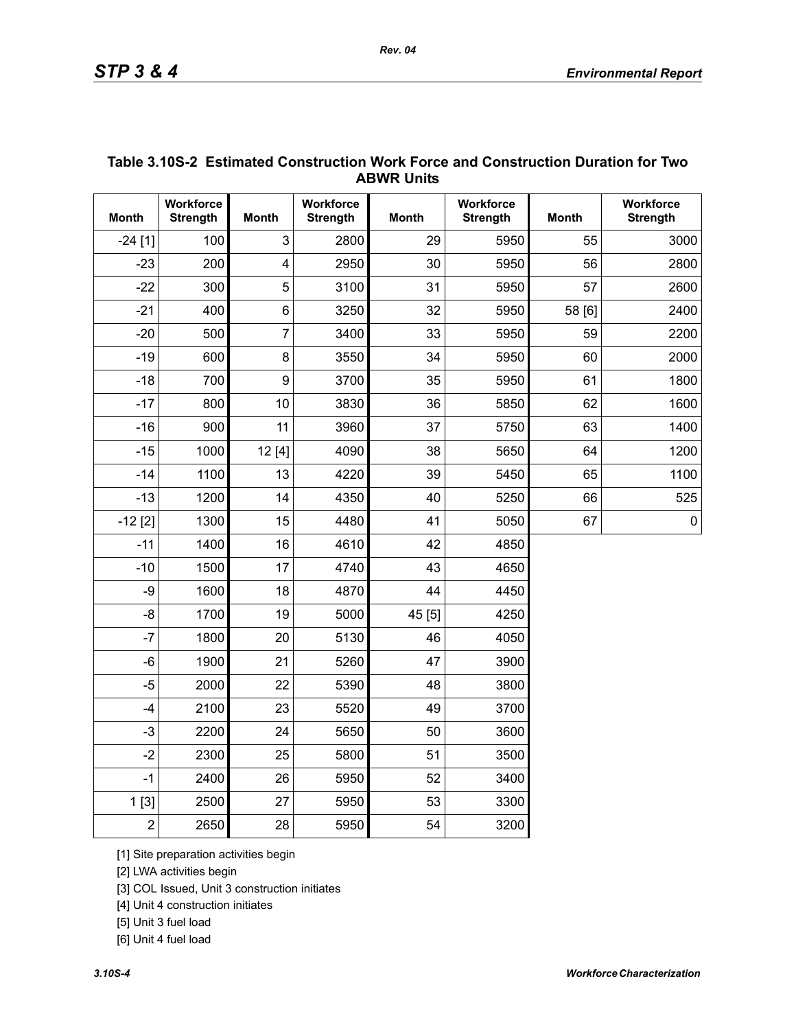| <b>ABWR UNITS</b> |                              |                         |                              |              |                              |              |                              |  |  |  |
|-------------------|------------------------------|-------------------------|------------------------------|--------------|------------------------------|--------------|------------------------------|--|--|--|
| <b>Month</b>      | Workforce<br><b>Strength</b> | <b>Month</b>            | Workforce<br><b>Strength</b> | <b>Month</b> | Workforce<br><b>Strength</b> | <b>Month</b> | Workforce<br><b>Strength</b> |  |  |  |
| $-24$ [1]         | 100                          | 3                       | 2800                         | 29           | 5950                         | 55           | 3000                         |  |  |  |
| $-23$             | 200                          | $\overline{\mathbf{4}}$ | 2950                         | 30           | 5950                         | 56           | 2800                         |  |  |  |
| $-22$             | 300                          | 5                       | 3100                         | 31           | 5950                         | 57           | 2600                         |  |  |  |
| $-21$             | 400                          | $6\phantom{1}$          | 3250                         | 32           | 5950                         | 58 [6]       | 2400                         |  |  |  |
| $-20$             | 500                          | $\overline{7}$          | 3400                         | 33           | 5950                         | 59           | 2200                         |  |  |  |
| $-19$             | 600                          | 8                       | 3550                         | 34           | 5950                         | 60           | 2000                         |  |  |  |
| $-18$             | 700                          | 9                       | 3700                         | 35           | 5950                         | 61           | 1800                         |  |  |  |
| $-17$             | 800                          | 10                      | 3830                         | 36           | 5850                         | 62           | 1600                         |  |  |  |
| $-16$             | 900                          | 11                      | 3960                         | 37           | 5750                         | 63           | 1400                         |  |  |  |
| $-15$             | 1000                         | 12[4]                   | 4090                         | 38           | 5650                         | 64           | 1200                         |  |  |  |
| $-14$             | 1100                         | 13                      | 4220                         | 39           | 5450                         | 65           | 1100                         |  |  |  |
| $-13$             | 1200                         | 14                      | 4350                         | 40           | 5250                         | 66           | 525                          |  |  |  |
| $-12$ [2]         | 1300                         | 15                      | 4480                         | 41           | 5050                         | 67           | $\pmb{0}$                    |  |  |  |
| $-11$             | 1400                         | 16                      | 4610                         | 42           | 4850                         |              |                              |  |  |  |
| $-10$             | 1500                         | 17                      | 4740                         | 43           | 4650                         |              |                              |  |  |  |
| -9                | 1600                         | 18                      | 4870                         | 44           | 4450                         |              |                              |  |  |  |
| $-8$              | 1700                         | 19                      | 5000                         | 45 [5]       | 4250                         |              |                              |  |  |  |
| $-7$              | 1800                         | 20                      | 5130                         | 46           | 4050                         |              |                              |  |  |  |
| $-6$              | 1900                         | 21                      | 5260                         | 47           | 3900                         |              |                              |  |  |  |
| $-5$              | 2000                         | 22                      | 5390                         | 48           | 3800                         |              |                              |  |  |  |
| $-4$              | 2100                         | 23                      | 5520                         | 49           | 3700                         |              |                              |  |  |  |
| $-3$              | 2200                         | 24                      | 5650                         | 50           | 3600                         |              |                              |  |  |  |
| $-2$              | 2300                         | 25                      | 5800                         | 51           | 3500                         |              |                              |  |  |  |
| $-1$              | 2400                         | 26                      | 5950                         | 52           | 3400                         |              |                              |  |  |  |
| 1[3]              | 2500                         | 27                      | 5950                         | 53           | 3300                         |              |                              |  |  |  |
| $\overline{2}$    | 2650                         | 28                      | 5950                         | 54           | 3200                         |              |                              |  |  |  |

#### **Table 3.10S-2 Estimated Construction Work Force and Construction Duration for Two ABWR Units**

[1] Site preparation activities begin

[2] LWA activities begin

[3] COL Issued, Unit 3 construction initiates

[4] Unit 4 construction initiates

[5] Unit 3 fuel load

[6] Unit 4 fuel load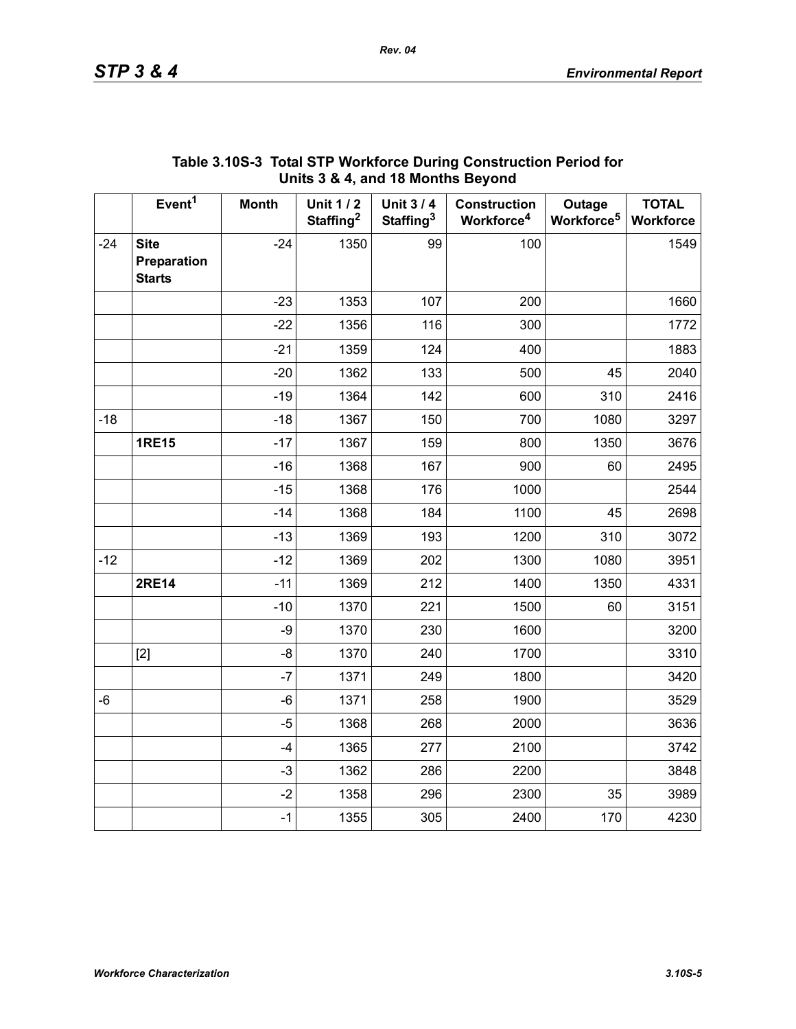|       |                                             |              |                                          | $3.4$ ; and to months boyond             |                                               |                                  |                           |
|-------|---------------------------------------------|--------------|------------------------------------------|------------------------------------------|-----------------------------------------------|----------------------------------|---------------------------|
|       | Event <sup>1</sup>                          | <b>Month</b> | <b>Unit 1/2</b><br>Staffing <sup>2</sup> | <b>Unit 3/4</b><br>Staffing <sup>3</sup> | <b>Construction</b><br>Workforce <sup>4</sup> | Outage<br>Workforce <sup>5</sup> | <b>TOTAL</b><br>Workforce |
| $-24$ | <b>Site</b><br>Preparation<br><b>Starts</b> | $-24$        | 1350                                     | 99                                       | 100                                           |                                  | 1549                      |
|       |                                             | $-23$        | 1353                                     | 107                                      | 200                                           |                                  | 1660                      |
|       |                                             | $-22$        | 1356                                     | 116                                      | 300                                           |                                  | 1772                      |
|       |                                             | $-21$        | 1359                                     | 124                                      | 400                                           |                                  | 1883                      |
|       |                                             | $-20$        | 1362                                     | 133                                      | 500                                           | 45                               | 2040                      |
|       |                                             | $-19$        | 1364                                     | 142                                      | 600                                           | 310                              | 2416                      |
| $-18$ |                                             | $-18$        | 1367                                     | 150                                      | 700                                           | 1080                             | 3297                      |
|       | <b>1RE15</b>                                | $-17$        | 1367                                     | 159                                      | 800                                           | 1350                             | 3676                      |
|       |                                             | $-16$        | 1368                                     | 167                                      | 900                                           | 60                               | 2495                      |
|       |                                             | $-15$        | 1368                                     | 176                                      | 1000                                          |                                  | 2544                      |
|       |                                             | $-14$        | 1368                                     | 184                                      | 1100                                          | 45                               | 2698                      |
|       |                                             | $-13$        | 1369                                     | 193                                      | 1200                                          | 310                              | 3072                      |
| $-12$ |                                             | $-12$        | 1369                                     | 202                                      | 1300                                          | 1080                             | 3951                      |
|       | <b>2RE14</b>                                | $-11$        | 1369                                     | 212                                      | 1400                                          | 1350                             | 4331                      |
|       |                                             | $-10$        | 1370                                     | 221                                      | 1500                                          | 60                               | 3151                      |
|       |                                             | $-9$         | 1370                                     | 230                                      | 1600                                          |                                  | 3200                      |
|       | $[2]$                                       | -8           | 1370                                     | 240                                      | 1700                                          |                                  | 3310                      |
|       |                                             | $-7$         | 1371                                     | 249                                      | 1800                                          |                                  | 3420                      |
| $-6$  |                                             | $-6$         | 1371                                     | 258                                      | 1900                                          |                                  | 3529                      |
|       |                                             | $-5$         | 1368                                     | 268                                      | 2000                                          |                                  | 3636                      |
|       |                                             | $-4$         | 1365                                     | 277                                      | 2100                                          |                                  | 3742                      |
|       |                                             | $-3$         | 1362                                     | 286                                      | 2200                                          |                                  | 3848                      |
|       |                                             | $-2$         | 1358                                     | 296                                      | 2300                                          | 35                               | 3989                      |
|       |                                             | $-1$         | 1355                                     | 305                                      | 2400                                          | 170                              | 4230                      |

# **Table 3.10S-3 Total STP Workforce During Construction Period for Units 3 & 4, and 18 Months Beyond**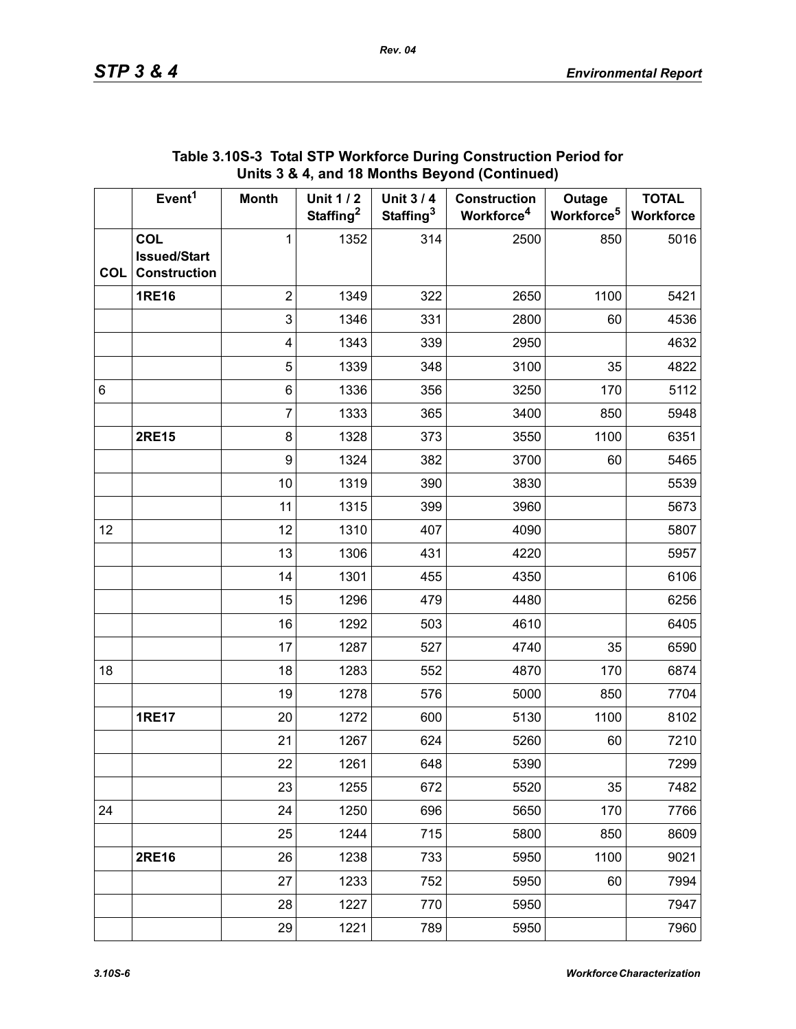|            | Event <sup>1</sup>                                       | <b>Month</b>   | <b>Unit 1/2</b><br>Staffing <sup>2</sup> | <b>Unit 3/4</b><br>Staffing <sup>3</sup> | <b>Construction</b><br>Workforce <sup>4</sup> | Outage<br>Workforce <sup>5</sup> | <b>TOTAL</b><br>Workforce |
|------------|----------------------------------------------------------|----------------|------------------------------------------|------------------------------------------|-----------------------------------------------|----------------------------------|---------------------------|
| <b>COL</b> | <b>COL</b><br><b>Issued/Start</b><br><b>Construction</b> | $\mathbf{1}$   | 1352                                     | 314                                      | 2500                                          | 850                              | 5016                      |
|            | <b>1RE16</b>                                             | $\overline{2}$ | 1349                                     | 322                                      | 2650                                          | 1100                             | 5421                      |
|            |                                                          | 3              | 1346                                     | 331                                      | 2800                                          | 60                               | 4536                      |
|            |                                                          | 4              | 1343                                     | 339                                      | 2950                                          |                                  | 4632                      |
|            |                                                          | 5              | 1339                                     | 348                                      | 3100                                          | 35                               | 4822                      |
| 6          |                                                          | 6              | 1336                                     | 356                                      | 3250                                          | 170                              | 5112                      |
|            |                                                          | $\overline{7}$ | 1333                                     | 365                                      | 3400                                          | 850                              | 5948                      |
|            | <b>2RE15</b>                                             | 8              | 1328                                     | 373                                      | 3550                                          | 1100                             | 6351                      |
|            |                                                          | 9              | 1324                                     | 382                                      | 3700                                          | 60                               | 5465                      |
|            |                                                          | 10             | 1319                                     | 390                                      | 3830                                          |                                  | 5539                      |
|            |                                                          | 11             | 1315                                     | 399                                      | 3960                                          |                                  | 5673                      |
| 12         |                                                          | 12             | 1310                                     | 407                                      | 4090                                          |                                  | 5807                      |
|            |                                                          | 13             | 1306                                     | 431                                      | 4220                                          |                                  | 5957                      |
|            |                                                          | 14             | 1301                                     | 455                                      | 4350                                          |                                  | 6106                      |
|            |                                                          | 15             | 1296                                     | 479                                      | 4480                                          |                                  | 6256                      |
|            |                                                          | 16             | 1292                                     | 503                                      | 4610                                          |                                  | 6405                      |
|            |                                                          | 17             | 1287                                     | 527                                      | 4740                                          | 35                               | 6590                      |
| 18         |                                                          | 18             | 1283                                     | 552                                      | 4870                                          | 170                              | 6874                      |
|            |                                                          | 19             | 1278                                     | 576                                      | 5000                                          | 850                              | 7704                      |
|            | <b>1RE17</b>                                             | 20             | 1272                                     | 600                                      | 5130                                          | 1100                             | 8102                      |
|            |                                                          | 21             | 1267                                     | 624                                      | 5260                                          | 60                               | 7210                      |
|            |                                                          | 22             | 1261                                     | 648                                      | 5390                                          |                                  | 7299                      |
|            |                                                          | 23             | 1255                                     | 672                                      | 5520                                          | 35                               | 7482                      |
| 24         |                                                          | 24             | 1250                                     | 696                                      | 5650                                          | 170                              | 7766                      |
|            |                                                          | 25             | 1244                                     | 715                                      | 5800                                          | 850                              | 8609                      |
|            | <b>2RE16</b>                                             | 26             | 1238                                     | 733                                      | 5950                                          | 1100                             | 9021                      |
|            |                                                          | 27             | 1233                                     | 752                                      | 5950                                          | 60                               | 7994                      |
|            |                                                          | 28             | 1227                                     | 770                                      | 5950                                          |                                  | 7947                      |
|            |                                                          | 29             | 1221                                     | 789                                      | 5950                                          |                                  | 7960                      |

#### **Table 3.10S-3 Total STP Workforce During Construction Period for Units 3 & 4, and 18 Months Beyond (Continued)**

*Rev. 04*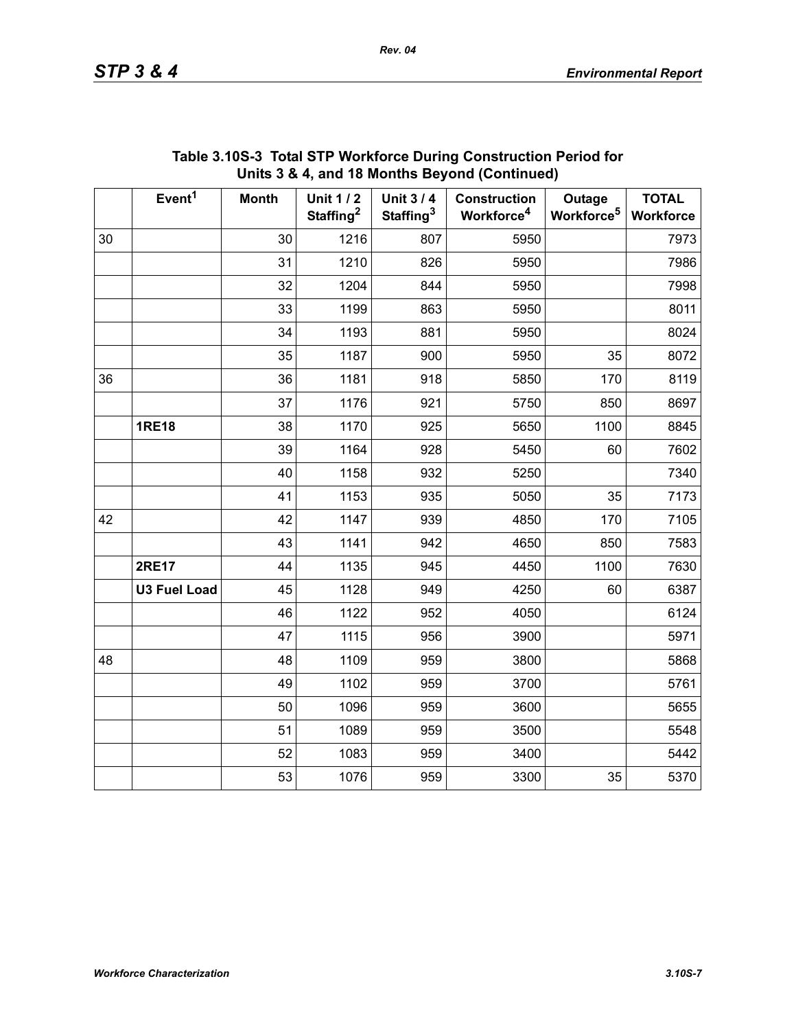|    | Event <sup>1</sup>  | <b>Month</b> | <b>Unit 1/2</b><br>Staffing <sup>2</sup> | <b>Unit 3/4</b><br>Staffing <sup>3</sup> | <b>Construction</b><br>Workforce <sup>4</sup> | Outage<br>Workforce <sup>5</sup> | <b>TOTAL</b><br>Workforce |
|----|---------------------|--------------|------------------------------------------|------------------------------------------|-----------------------------------------------|----------------------------------|---------------------------|
| 30 |                     | 30           | 1216                                     | 807                                      | 5950                                          |                                  | 7973                      |
|    |                     | 31           | 1210                                     | 826                                      | 5950                                          |                                  | 7986                      |
|    |                     | 32           | 1204                                     | 844                                      | 5950                                          |                                  | 7998                      |
|    |                     | 33           | 1199                                     | 863                                      | 5950                                          |                                  | 8011                      |
|    |                     | 34           | 1193                                     | 881                                      | 5950                                          |                                  | 8024                      |
|    |                     | 35           | 1187                                     | 900                                      | 5950                                          | 35                               | 8072                      |
| 36 |                     | 36           | 1181                                     | 918                                      | 5850                                          | 170                              | 8119                      |
|    |                     | 37           | 1176                                     | 921                                      | 5750                                          | 850                              | 8697                      |
|    | <b>1RE18</b>        | 38           | 1170                                     | 925                                      | 5650                                          | 1100                             | 8845                      |
|    |                     | 39           | 1164                                     | 928                                      | 5450                                          | 60                               | 7602                      |
|    |                     | 40           | 1158                                     | 932                                      | 5250                                          |                                  | 7340                      |
|    |                     | 41           | 1153                                     | 935                                      | 5050                                          | 35                               | 7173                      |
| 42 |                     | 42           | 1147                                     | 939                                      | 4850                                          | 170                              | 7105                      |
|    |                     | 43           | 1141                                     | 942                                      | 4650                                          | 850                              | 7583                      |
|    | <b>2RE17</b>        | 44           | 1135                                     | 945                                      | 4450                                          | 1100                             | 7630                      |
|    | <b>U3 Fuel Load</b> | 45           | 1128                                     | 949                                      | 4250                                          | 60                               | 6387                      |
|    |                     | 46           | 1122                                     | 952                                      | 4050                                          |                                  | 6124                      |
|    |                     | 47           | 1115                                     | 956                                      | 3900                                          |                                  | 5971                      |
| 48 |                     | 48           | 1109                                     | 959                                      | 3800                                          |                                  | 5868                      |
|    |                     | 49           | 1102                                     | 959                                      | 3700                                          |                                  | 5761                      |
|    |                     | 50           | 1096                                     | 959                                      | 3600                                          |                                  | 5655                      |
|    |                     | 51           | 1089                                     | 959                                      | 3500                                          |                                  | 5548                      |
|    |                     | 52           | 1083                                     | 959                                      | 3400                                          |                                  | 5442                      |
|    |                     | 53           | 1076                                     | 959                                      | 3300                                          | 35                               | 5370                      |

#### **Table 3.10S-3 Total STP Workforce During Construction Period for Units 3 & 4, and 18 Months Beyond (Continued)**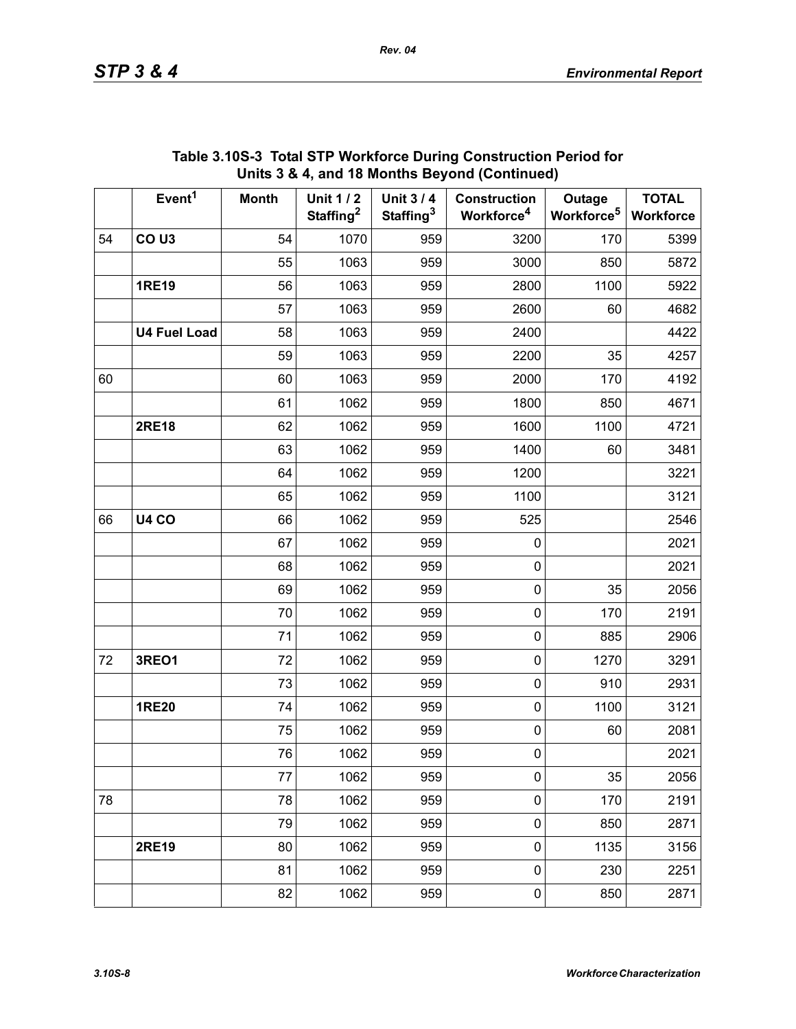|    | Event <sup>1</sup>  | <b>Month</b> | <b>Unit 1/2</b><br>Staffing <sup>2</sup> | <b>Unit 3/4</b><br>Staffing <sup>3</sup> | <b>Construction</b><br>Workforce <sup>4</sup> | Outage<br>Workforce <sup>5</sup> | <b>TOTAL</b><br>Workforce |
|----|---------------------|--------------|------------------------------------------|------------------------------------------|-----------------------------------------------|----------------------------------|---------------------------|
| 54 | CO <sub>U3</sub>    | 54           | 1070                                     | 959                                      | 3200                                          | 170                              | 5399                      |
|    |                     | 55           | 1063                                     | 959                                      | 3000                                          | 850                              | 5872                      |
|    | <b>1RE19</b>        | 56           | 1063                                     | 959                                      | 2800                                          | 1100                             | 5922                      |
|    |                     | 57           | 1063                                     | 959                                      | 2600                                          | 60                               | 4682                      |
|    | <b>U4 Fuel Load</b> | 58           | 1063                                     | 959                                      | 2400                                          |                                  | 4422                      |
|    |                     | 59           | 1063                                     | 959                                      | 2200                                          | 35                               | 4257                      |
| 60 |                     | 60           | 1063                                     | 959                                      | 2000                                          | 170                              | 4192                      |
|    |                     | 61           | 1062                                     | 959                                      | 1800                                          | 850                              | 4671                      |
|    | <b>2RE18</b>        | 62           | 1062                                     | 959                                      | 1600                                          | 1100                             | 4721                      |
|    |                     | 63           | 1062                                     | 959                                      | 1400                                          | 60                               | 3481                      |
|    |                     | 64           | 1062                                     | 959                                      | 1200                                          |                                  | 3221                      |
|    |                     | 65           | 1062                                     | 959                                      | 1100                                          |                                  | 3121                      |
| 66 | <b>U4 CO</b>        | 66           | 1062                                     | 959                                      | 525                                           |                                  | 2546                      |
|    |                     | 67           | 1062                                     | 959                                      | 0                                             |                                  | 2021                      |
|    |                     | 68           | 1062                                     | 959                                      | 0                                             |                                  | 2021                      |
|    |                     | 69           | 1062                                     | 959                                      | $\pmb{0}$                                     | 35                               | 2056                      |
|    |                     | 70           | 1062                                     | 959                                      | 0                                             | 170                              | 2191                      |
|    |                     | 71           | 1062                                     | 959                                      | 0                                             | 885                              | 2906                      |
| 72 | 3REO1               | 72           | 1062                                     | 959                                      | 0                                             | 1270                             | 3291                      |
|    |                     | 73           | 1062                                     | 959                                      | 0                                             | 910                              | 2931                      |
|    | <b>1RE20</b>        | 74           | 1062                                     | 959                                      | 0                                             | 1100                             | 3121                      |
|    |                     | 75           | 1062                                     | 959                                      | 0                                             | 60                               | 2081                      |
|    |                     | 76           | 1062                                     | 959                                      | 0                                             |                                  | 2021                      |
|    |                     | 77           | 1062                                     | 959                                      | $\mathbf 0$                                   | 35                               | 2056                      |
| 78 |                     | 78           | 1062                                     | 959                                      | $\mathsf{O}\xspace$                           | 170                              | 2191                      |
|    |                     | 79           | 1062                                     | 959                                      | $\mathbf 0$                                   | 850                              | 2871                      |
|    | <b>2RE19</b>        | 80           | 1062                                     | 959                                      | 0                                             | 1135                             | 3156                      |
|    |                     | 81           | 1062                                     | 959                                      | $\mathbf 0$                                   | 230                              | 2251                      |
|    |                     | 82           | 1062                                     | 959                                      | $\pmb{0}$                                     | 850                              | 2871                      |

#### **Table 3.10S-3 Total STP Workforce During Construction Period for Units 3 & 4, and 18 Months Beyond (Continued)**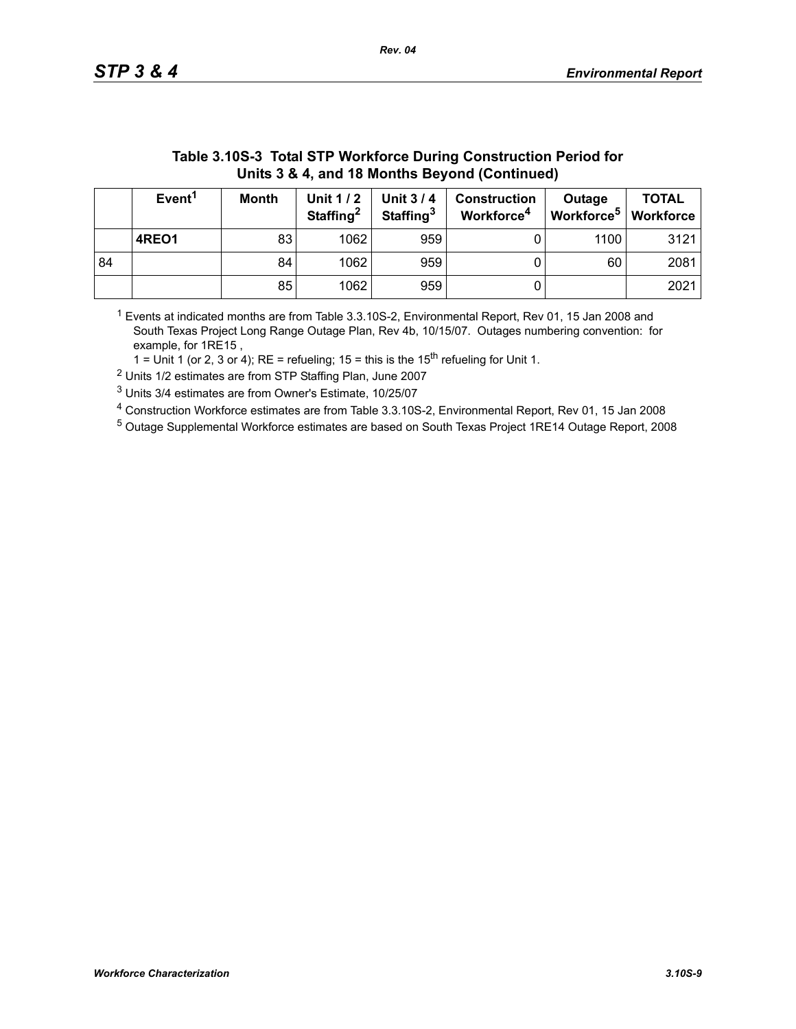| Units 3 & 4, and 18 Months Beyond (Continued) |                                                                                                                                                                                                                                                |    |      |     |  |      |      |  |  |
|-----------------------------------------------|------------------------------------------------------------------------------------------------------------------------------------------------------------------------------------------------------------------------------------------------|----|------|-----|--|------|------|--|--|
|                                               | Event <sup>1</sup><br><b>TOTAL</b><br>Unit 1 / 2<br><b>Unit 3/4</b><br><b>Month</b><br><b>Construction</b><br>Outage<br>Workforce <sup>5</sup><br>Staffing <sup>2</sup><br>Staffing <sup>3</sup><br>Workforce <sup>4</sup><br><b>Workforce</b> |    |      |     |  |      |      |  |  |
|                                               | 4REO1                                                                                                                                                                                                                                          | 83 | 1062 | 959 |  | 1100 | 3121 |  |  |
| 84                                            |                                                                                                                                                                                                                                                | 84 | 1062 | 959 |  | 60   | 2081 |  |  |
|                                               |                                                                                                                                                                                                                                                | 85 | 1062 | 959 |  |      | 2021 |  |  |

# **Table 3.10S-3 Total STP Workforce During Construction Period for**

 $1$  Events at indicated months are from Table 3.3.10S-2, Environmental Report, Rev 01, 15 Jan 2008 and South Texas Project Long Range Outage Plan, Rev 4b, 10/15/07. Outages numbering convention: for example, for 1RE15 ,

1 = Unit 1 (or 2, 3 or 4); RE = refueling; 15 = this is the  $15<sup>th</sup>$  refueling for Unit 1.

2 Units 1/2 estimates are from STP Staffing Plan, June 2007

3 Units 3/4 estimates are from Owner's Estimate, 10/25/07

4 Construction Workforce estimates are from Table 3.3.10S-2, Environmental Report, Rev 01, 15 Jan 2008

5 Outage Supplemental Workforce estimates are based on South Texas Project 1RE14 Outage Report, 2008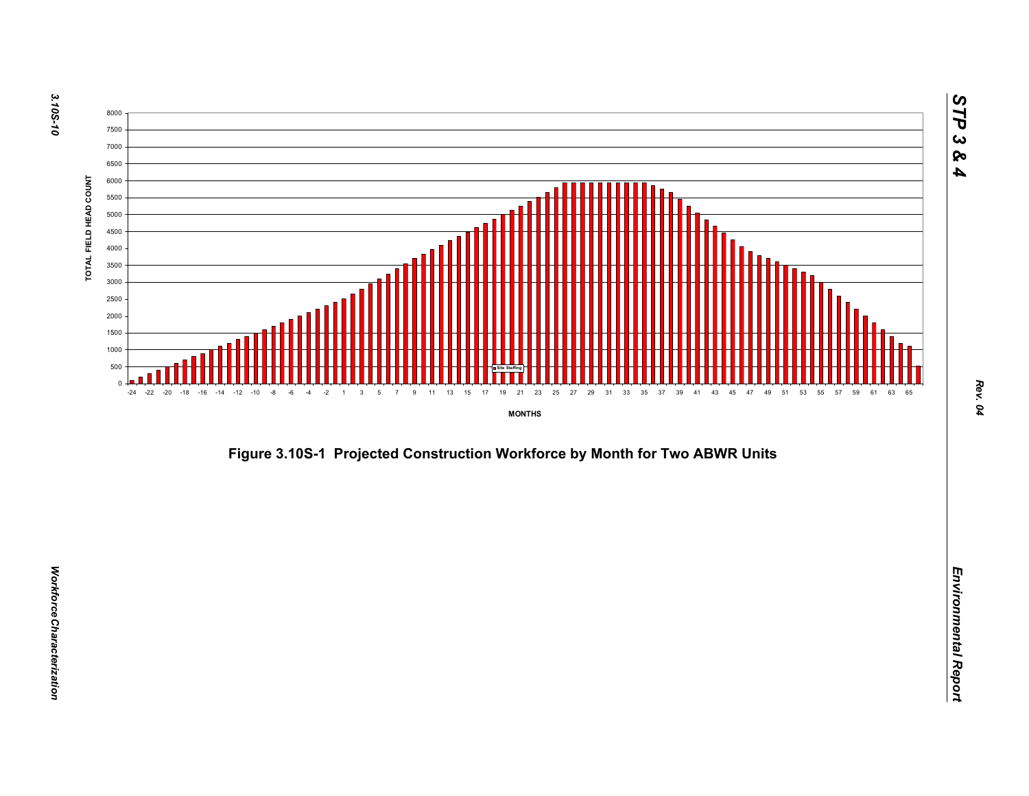



*STP 3 & 4*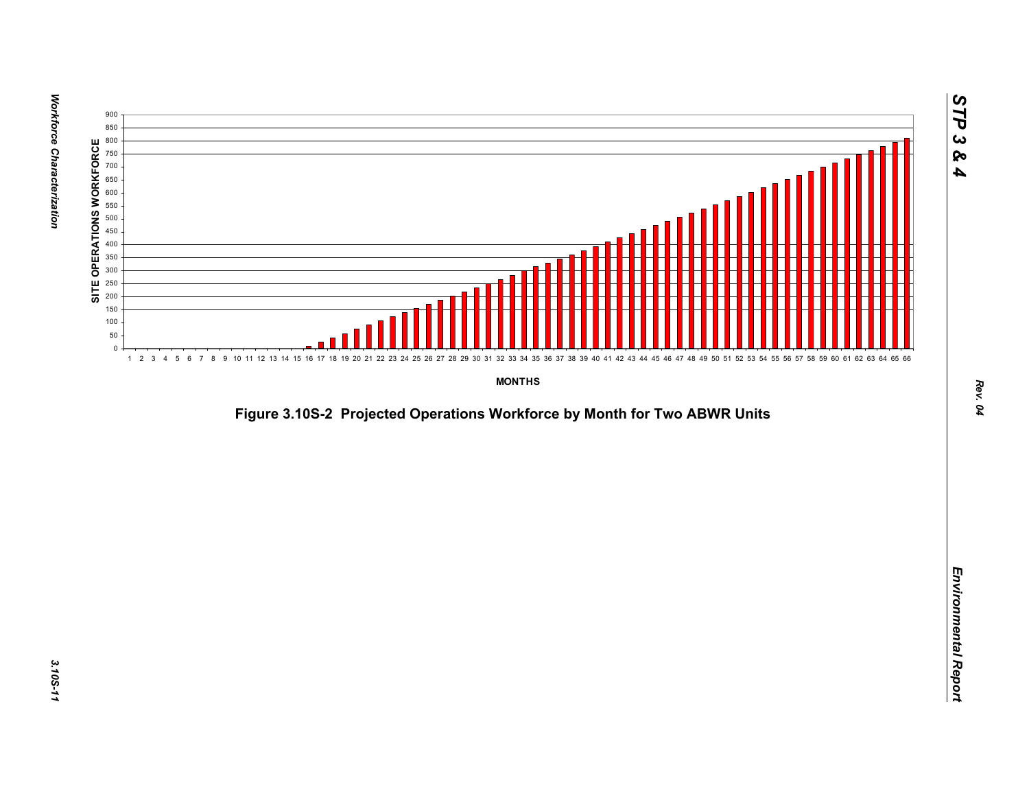

*Figure 3.10S-2 Projected Operations Workforce by Month for Two ABWR Units*<br>*Environmental Report*<br>Projected Operations Workforce by Month for Two ABWR Units<br>Projected Operations Workforce by Month for Two ABWR Units<br>Proje

*STP 3 & 4*